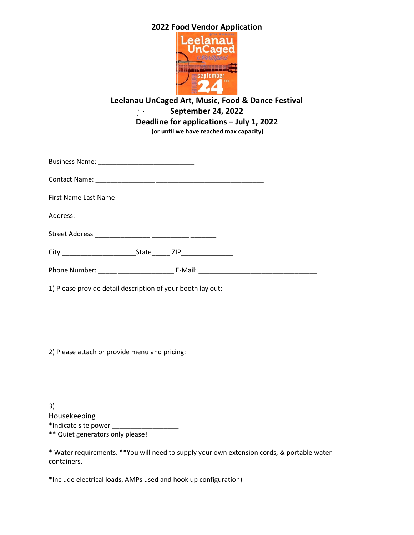# **2022 Food Vendor Application**



#### **Leelanau UnCaged Art, Music, Food & Dance Festival**  $\mathcal{L}_{\text{max}}$ **September 24, 2022 Deadline for applications – July 1, 2022 (or until we have reached max capacity)**

Business Name: \_\_\_\_\_\_\_\_\_\_\_\_\_\_\_\_\_\_\_\_\_\_\_\_\_\_

Contact Name: \_\_\_\_\_\_\_\_\_\_\_\_\_\_\_\_ \_\_\_\_\_\_\_\_\_\_\_\_\_\_\_\_\_\_\_\_\_\_\_\_\_\_\_\_\_

First Name Last Name

Address: \_\_\_\_\_\_\_\_\_\_\_\_\_\_\_\_\_\_\_\_\_\_\_\_\_\_\_\_\_\_\_\_\_

Street Address \_\_\_\_\_\_\_\_\_\_\_\_\_\_\_ \_\_\_\_\_\_\_\_\_\_ \_\_\_\_\_\_\_

| r.<br>ı<br><u>.</u> |  |
|---------------------|--|
|---------------------|--|

Phone Number: \_\_\_\_\_ \_\_\_\_\_\_\_\_\_\_\_\_\_\_\_ E-Mail: \_\_\_\_\_\_\_\_\_\_\_\_\_\_\_\_\_\_\_\_\_\_\_\_\_\_\_\_\_\_\_\_

1) Please provide detail description of your booth lay out:

2) Please attach or provide menu and pricing:

3) Housekeeping \*Indicate site power \_\_\_\_\_\_\_\_\_\_\_\_\_\_\_\_\_\_ \*\* Quiet generators only please!

\* Water requirements. \*\*You will need to supply your own extension cords, & portable water containers.

\*Include electrical loads, AMPs used and hook up configuration)